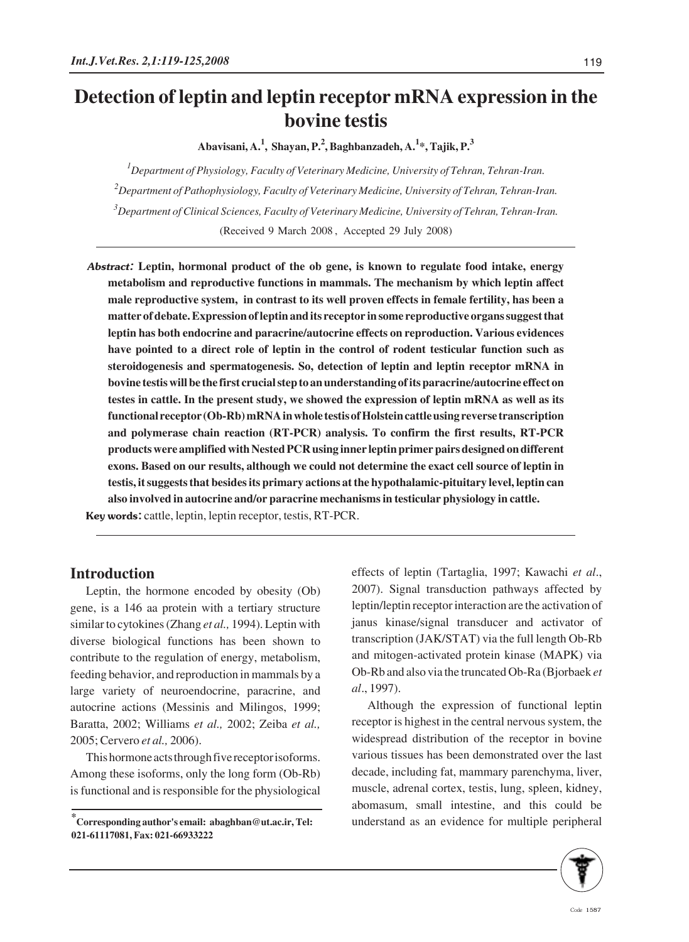# **Detection of leptin and leptin receptor mRNA expression in the bovine testis**

**Abavisani, A.<sup>1</sup> , Shayan, P.<sup>2</sup> , Baghbanzadeh, A.<sup>1</sup> \*, Tajik, P.3**

 *Department of Physiology, Faculty of Veterinary Medicine, University of Tehran, Tehran-Iran. Department of Pathophysiology, Faculty of Veterinary Medicine, University of Tehran, Tehran-Iran. Department of Clinical Sciences, Faculty of Veterinary Medicine, University of Tehran, Tehran-Iran.* (Received 9 March 2008 , Accepted 29 July 2008)

Abstract: **Leptin, hormonal product of the ob gene, is known to regulate food intake, energy metabolism and reproductive functions in mammals. The mechanism by which leptin affect male reproductive system, in contrast to its well proven effects in female fertility, has been a matter of debate. Expression of leptin and its receptor in some reproductive organs suggest that leptin has both endocrine and paracrine/autocrine effects on reproduction. Various evidences have pointed to a direct role of leptin in the control of rodent testicular function such as steroidogenesis and spermatogenesis. So, detection of leptin and leptin receptor mRNA in bovine testis will be the first crucial step to an understanding of its paracrine/autocrine effect on testes in cattle. In the present study, we showed the expression of leptin mRNA as well as its functional receptor (Ob-Rb) mRNA in whole testis of Holstein cattle using reverse transcription and polymerase chain reaction (RT-PCR) analysis. To confirm the first results, RT-PCR products were amplified with Nested PCR using inner leptin primer pairs designed on different exons. Based on our results, although we could not determine the exact cell source of leptin in testis, it suggests that besides its primary actions at the hypothalamic-pituitary level, leptin can also involved in autocrine and/or paracrine mechanisms in testicular physiology in cattle.**  Key words: cattle, leptin, leptin receptor, testis, RT-PCR.

## **Introduction**

Leptin, the hormone encoded by obesity (Ob) gene, is a 146 aa protein with a tertiary structure similar to cytokines (Zhang *et al.,* 1994). Leptin with diverse biological functions has been shown to contribute to the regulation of energy, metabolism, feeding behavior, and reproduction in mammals by a large variety of neuroendocrine, paracrine, and autocrine actions (Messinis and Milingos, 1999; Baratta, 2002; Williams *et al.,* 2002; Zeiba *et al.,* 2005; Cervero *et al.,* 2006).

This hormone acts through five receptor isoforms. Among these isoforms, only the long form (Ob-Rb) is functional and is responsible for the physiological effects of leptin (Tartaglia, 1997; Kawachi *et al*., 2007). Signal transduction pathways affected by leptin/leptin receptor interaction are the activation of janus kinase/signal transducer and activator of transcription (JAK/STAT) via the full length Ob-Rb and mitogen-activated protein kinase (MAPK) via Ob-Rb and also via the truncated Ob-Ra (Bjorbaek *et al*., 1997).

Although the expression of functional leptin receptor is highest in the central nervous system, the widespread distribution of the receptor in bovine various tissues has been demonstrated over the last decade, including fat, mammary parenchyma, liver, muscle, adrenal cortex, testis, lung, spleen, kidney, abomasum, small intestine, and this could be understand as an evidence for multiple peripheral



**<sup>\*</sup> Corresponding author's email: abaghban@ut.ac.ir, Tel: 021-61117081, Fax: 021-66933222**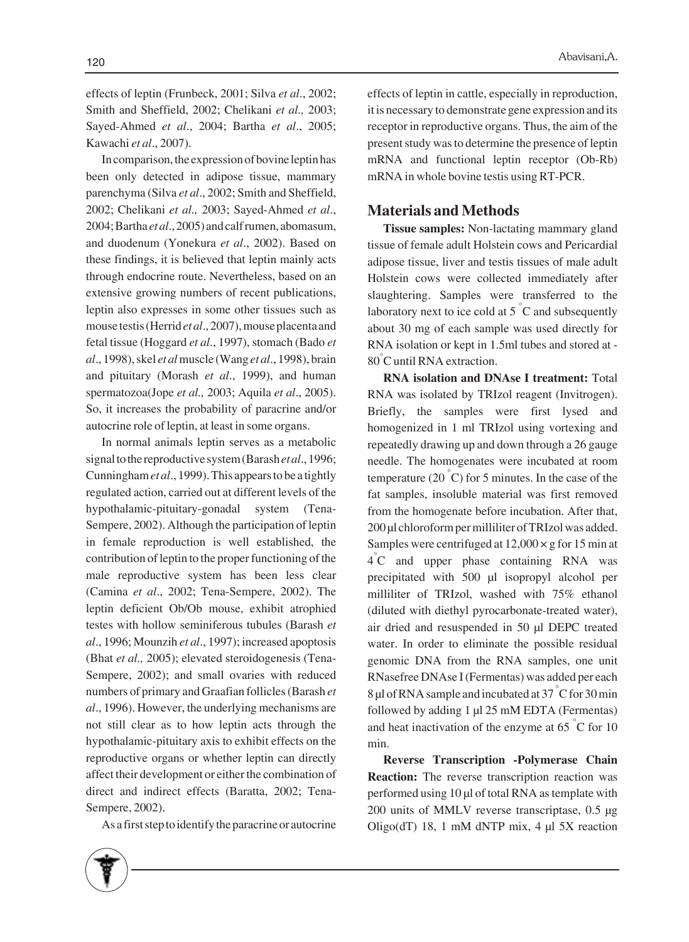effects of leptin (Frunbeck, 2001; Silva *et al*., 2002; Smith and Sheffield, 2002; Chelikani *et al.,* 2003; Sayed-Ahmed *et al*., 2004; Bartha *et al*., 2005; Kawachi *et al*., 2007).

In comparison, the expression of bovine leptin has been only detected in adipose tissue, mammary parenchyma (Silva *et al*., 2002; Smith and Sheffield, 2002; Chelikani *et al.,* 2003; Sayed-Ahmed *et al*., 2004; Bartha *et al*., 2005) and calf rumen, abomasum, and duodenum (Yonekura *et al*., 2002). Based on these findings, it is believed that leptin mainly acts through endocrine route. Nevertheless, based on an extensive growing numbers of recent publications, leptin also expresses in some other tissues such as mouse testis (Herrid *et al*., 2007), mouse placenta and fetal tissue (Hoggard *et al*., 1997), stomach (Bado *et al*., 1998), skel *et al*muscle (Wang *et al*., 1998), brain and pituitary (Morash *et al*., 1999), and human spermatozoa(Jope *et al.,* 2003; Aquila *et al*., 2005). So, it increases the probability of paracrine and/or autocrine role of leptin, at least in some organs.

In normal animals leptin serves as a metabolic signal to the reproductive system (Barash *et al*., 1996; Cunningham *et al*., 1999). This appears to be a tightly regulated action, carried out at different levels of the hypothalamic-pituitary-gonadal system (Tena-Sempere, 2002). Although the participation of leptin in female reproduction is well established, the contribution of leptin to the proper functioning of the male reproductive system has been less clear (Camina *et al*., 2002; Tena-Sempere, 2002). The leptin deficient Ob/Ob mouse, exhibit atrophied testes with hollow seminiferous tubules (Barash *et al*., 1996; Mounzih *et al*., 1997); increased apoptosis (Bhat *et al.,* 2005); elevated steroidogenesis (Tena-Sempere, 2002); and small ovaries with reduced numbers of primary and Graafian follicles (Barash *et al*., 1996). However, the underlying mechanisms are not still clear as to how leptin acts through the hypothalamic-pituitary axis to exhibit effects on the reproductive organs or whether leptin can directly affect their development or either the combination of direct and indirect effects (Baratta, 2002; Tena-Sempere, 2002).

As a first step to identify the paracrine or autocrine

effects of leptin in cattle, especially in reproduction, it is necessary to demonstrate gene expression and its receptor in reproductive organs. Thus, the aim of the present study was to determine the presence of leptin mRNA and functional leptin receptor (Ob-Rb) mRNA in whole bovine testis using RT-PCR.

### **Materials and Methods**

**Tissue samples:** Non-lactating mammary gland tissue of female adult Holstein cows and Pericardial adipose tissue, liver and testis tissues of male adult Holstein cows were collected immediately after slaughtering. Samples were transferred to the laboratory next to ice cold at  $5^{\degree}$ C and subsequently about 30 mg of each sample was used directly for RNA isolation or kept in 1.5ml tubes and stored at - 80° C until RNA extraction.

**RNA isolation and DNAse I treatment:** Total RNA was isolated by TRIzol reagent (Invitrogen). Briefly, the samples were first lysed and homogenized in 1 ml TRIzol using vortexing and repeatedly drawing up and down through a 26 gauge needle. The homogenates were incubated at room temperature (20 $\degree$ C) for 5 minutes. In the case of the fat samples, insoluble material was first removed from the homogenate before incubation. After that, 200 μl chloroform per milliliter of TRIzol was added. Samples were centrifuged at  $12,000 \times g$  for 15 min at 4° C and upper phase containing RNA was precipitated with 500 μl isopropyl alcohol per milliliter of TRIzol, washed with 75% ethanol (diluted with diethyl pyrocarbonate-treated water), air dried and resuspended in 50 μl DEPC treated water. In order to eliminate the possible residual genomic DNA from the RNA samples, one unit RNasefree DNAse I (Fermentas) was added per each 8 μl of RNA sample and incubated at 37 ° C for 30 min followed by adding 1 μl 25 mM EDTA (Fermentas) and heat inactivation of the enzyme at  $65\degree C$  for 10 min.

**Reverse Transcription -Polymerase Chain Reaction:** The reverse transcription reaction was performed using 10 μl of total RNA as template with 200 units of MMLV reverse transcriptase, 0.5 μg Oligo(dT) 18, 1 mM dNTP mix, 4 μl 5X reaction

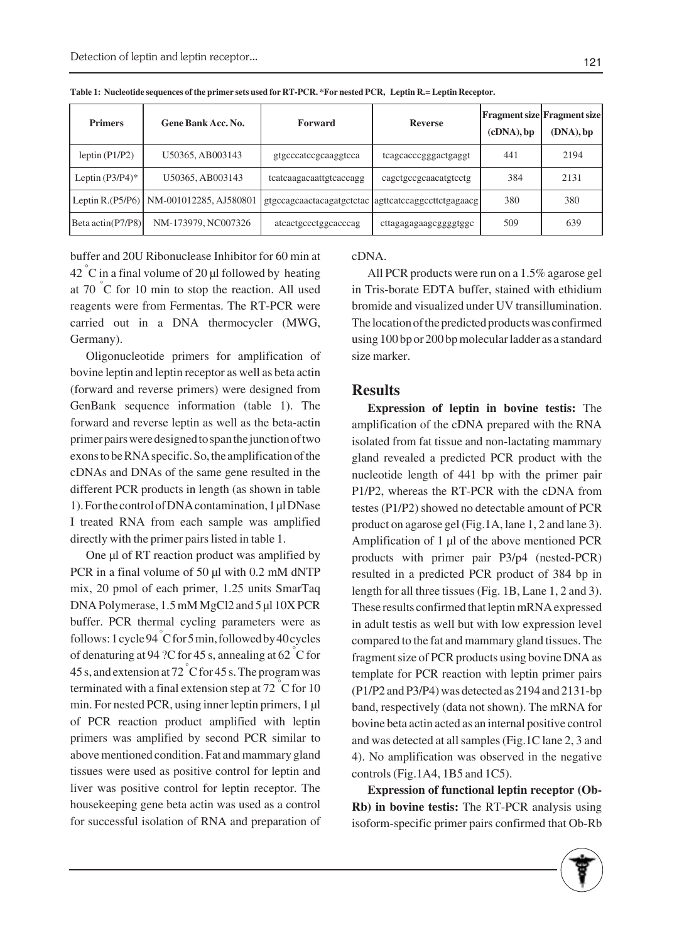| <b>Primers</b>      | <b>Gene Bank Acc. No.</b>                 | Forward                                             | <b>Reverse</b>         | (cDNA), bp | <b>Fragment size Fragment size</b><br>$(DNA)$ , bp |
|---------------------|-------------------------------------------|-----------------------------------------------------|------------------------|------------|----------------------------------------------------|
| leptin $(PI/P2)$    | U50365, AB003143                          | gtgcccatccgcaaggtcca                                | tcagcacccgggactgaggt   | 441        | 2194                                               |
| Leptin $(P3/P4)*$   | U50365, AB003143                          | tcatcaagacaattgtcaccagg                             | cagetgeegeaacatgtectg  | 384        | 2131                                               |
|                     | Leptin R.(P5/P6)   NM-001012285, AJ580801 | gtgccagcaactacagatgctctac agttcatccaggccttctgagaacg |                        | 380        | 380                                                |
| $Beta$ actin(P7/P8) | NM-173979, NC007326                       | atcactgccctggcacccag                                | cttagagagaagcgggggtggc | 509        | 639                                                |

**Table 1: Nucleotide sequences of the primer sets used for RT-PCR. \*For nested PCR, Leptin R.= Leptin Receptor.**

buffer and 20U Ribonuclease Inhibitor for 60 min at  $42\degree$ C in a final volume of 20 µl followed by heating at 70  $\degree$ C for 10 min to stop the reaction. All used reagents were from Fermentas. The RT-PCR were carried out in a DNA thermocycler (MWG, Germany).

Oligonucleotide primers for amplification of bovine leptin and leptin receptor as well as beta actin (forward and reverse primers) were designed from GenBank sequence information (table 1). The forward and reverse leptin as well as the beta-actin primer pairs were designed to span the junction of two exons to be RNA specific. So, the amplification of the cDNAs and DNAs of the same gene resulted in the different PCR products in length (as shown in table 1). For the control of DNA contamination, 1 μl DNase I treated RNA from each sample was amplified directly with the primer pairs listed in table 1.

One μl of RT reaction product was amplified by PCR in a final volume of 50 μl with 0.2 mM dNTP mix, 20 pmol of each primer, 1.25 units SmarTaq DNA Polymerase, 1.5 mM MgCl2 and 5 μl 10X PCR buffer. PCR thermal cycling parameters were as follows: 1 cycle 94 ° C for 5 min, followed by 40 cycles of denaturing at 94 ?C for 45 s, annealing at 62  $\degree$ C for 45 s, and extension at 72  $\degree$ C for 45 s. The program was terminated with a final extension step at 72  $\degree$ C for 10 min. For nested PCR, using inner leptin primers, 1 μl of PCR reaction product amplified with leptin primers was amplified by second PCR similar to above mentioned condition. Fat and mammary gland tissues were used as positive control for leptin and liver was positive control for leptin receptor. The housekeeping gene beta actin was used as a control for successful isolation of RNA and preparation of cDNA.

All PCR products were run on a 1.5% agarose gel in Tris-borate EDTA buffer, stained with ethidium bromide and visualized under UV transillumination. The location of the predicted products was confirmed using 100 bp or 200 bp molecular ladder as a standard size marker.

#### **Results**

**Expression of leptin in bovine testis:** The amplification of the cDNA prepared with the RNA isolated from fat tissue and non-lactating mammary gland revealed a predicted PCR product with the nucleotide length of 441 bp with the primer pair P1/P2, whereas the RT-PCR with the cDNA from testes (P1/P2) showed no detectable amount of PCR product on agarose gel (Fig.1A, lane 1, 2 and lane 3). Amplification of 1 μl of the above mentioned PCR products with primer pair P3/p4 (nested-PCR) resulted in a predicted PCR product of 384 bp in length for all three tissues (Fig. 1B, Lane 1, 2 and 3). These results confirmed that leptin mRNA expressed in adult testis as well but with low expression level compared to the fat and mammary gland tissues. The fragment size of PCR products using bovine DNA as template for PCR reaction with leptin primer pairs (P1/P2 and P3/P4) was detected as 2194 and 2131-bp band, respectively (data not shown). The mRNA for bovine beta actin acted as an internal positive control and was detected at all samples (Fig.1C lane 2, 3 and 4). No amplification was observed in the negative controls (Fig.1A4, 1B5 and 1C5).

**Expression of functional leptin receptor (Ob-Rb) in bovine testis:** The RT-PCR analysis using isoform-specific primer pairs confirmed that Ob-Rb

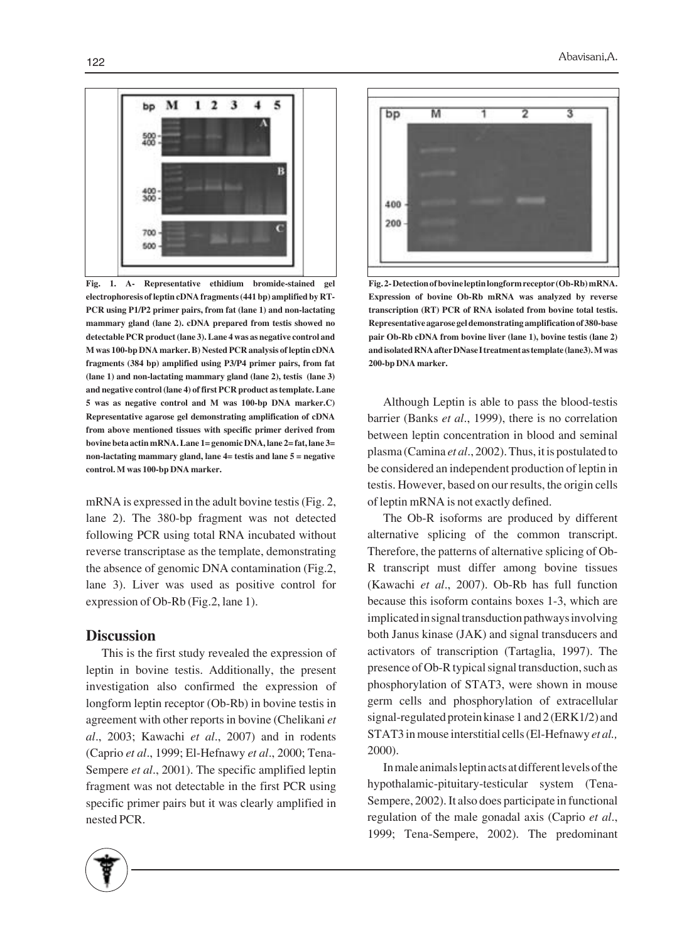

**Fig. 1. A- Representative ethidium bromide-stained gel electrophoresis of leptin cDNA fragments (441 bp) amplified by RT-PCR using P1/P2 primer pairs, from fat (lane 1) and non-lactating mammary gland (lane 2). cDNA prepared from testis showed no detectable PCR product (lane 3). Lane 4 was as negative control and M was 100-bp DNA marker. B) Nested PCR analysis of leptin cDNA fragments (384 bp) amplified using P3/P4 primer pairs, from fat (lane 1) and non-lactating mammary gland (lane 2), testis (lane 3) and negative control (lane 4) of first PCR product as template. Lane 5 was as negative control and M was 100-bp DNA marker.C) Representative agarose gel demonstrating amplification of cDNA from above mentioned tissues with specific primer derived from bovine beta actin mRNA. Lane 1= genomic DNA, lane 2= fat, lane 3= non-lactating mammary gland, lane 4= testis and lane 5 = negative control. M was 100-bp DNA marker.**

mRNA is expressed in the adult bovine testis (Fig. 2, lane 2). The 380-bp fragment was not detected following PCR using total RNA incubated without reverse transcriptase as the template, demonstrating the absence of genomic DNA contamination (Fig.2, lane 3). Liver was used as positive control for expression of Ob-Rb (Fig.2, lane 1).

#### **Discussion**

This is the first study revealed the expression of leptin in bovine testis. Additionally, the present investigation also confirmed the expression of longform leptin receptor (Ob-Rb) in bovine testis in agreement with other reports in bovine (Chelikani *et al*., 2003; Kawachi *et al*., 2007) and in rodents (Caprio *et al*., 1999; El-Hefnawy *et al*., 2000; Tena-Sempere *et al*., 2001). The specific amplified leptin fragment was not detectable in the first PCR using specific primer pairs but it was clearly amplified in nested PCR.



**Fig. 2- Detection of bovine leptin longform receptor (Ob-Rb) mRNA. Expression of bovine Ob-Rb mRNA was analyzed by reverse transcription (RT) PCR of RNA isolated from bovine total testis. Representative agarose gel demonstrating amplification of 380-base pair Ob-Rb cDNA from bovine liver (lane 1), bovine testis (lane 2) and isolated RNA after DNase I treatment as template (lane3). M was 200-bp DNA marker.**

Although Leptin is able to pass the blood-testis barrier (Banks *et al*., 1999), there is no correlation between leptin concentration in blood and seminal plasma (Camina *et al*., 2002). Thus, it is postulated to be considered an independent production of leptin in testis. However, based on our results, the origin cells of leptin mRNA is not exactly defined.

The Ob-R isoforms are produced by different alternative splicing of the common transcript. Therefore, the patterns of alternative splicing of Ob-R transcript must differ among bovine tissues (Kawachi *et al*., 2007). Ob-Rb has full function because this isoform contains boxes 1-3, which are implicated in signal transduction pathways involving both Janus kinase (JAK) and signal transducers and activators of transcription (Tartaglia, 1997). The presence of Ob-R typical signal transduction, such as phosphorylation of STAT3, were shown in mouse germ cells and phosphorylation of extracellular signal-regulated protein kinase 1 and 2 (ERK1/2) and STAT3 in mouse interstitial cells (El-Hefnawy *et al.,* 2000).

In male animals leptin acts at different levels of the hypothalamic-pituitary-testicular system (Tena-Sempere, 2002). It also does participate in functional regulation of the male gonadal axis (Caprio *et al*., 1999; Tena-Sempere, 2002). The predominant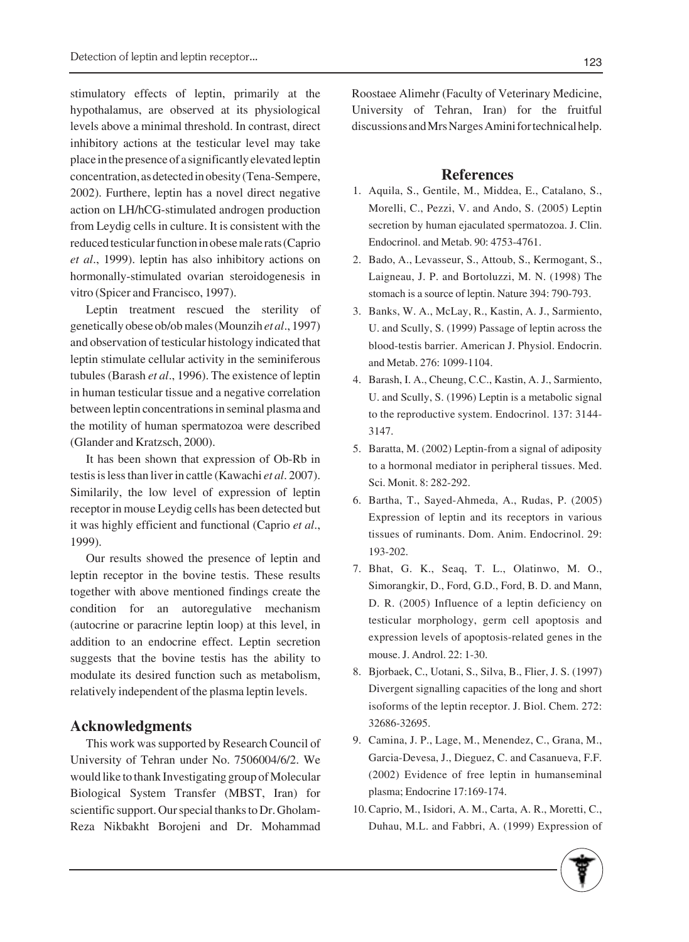stimulatory effects of leptin, primarily at the hypothalamus, are observed at its physiological levels above a minimal threshold. In contrast, direct inhibitory actions at the testicular level may take place in the presence of a significantly elevated leptin concentration, as detected in obesity (Tena-Sempere, 2002). Furthere, leptin has a novel direct negative action on LH/hCG-stimulated androgen production from Leydig cells in culture. It is consistent with the reduced testicular function in obese male rats (Caprio *et al*., 1999). leptin has also inhibitory actions on hormonally-stimulated ovarian steroidogenesis in vitro (Spicer and Francisco, 1997).

Leptin treatment rescued the sterility of genetically obese ob/ob males (Mounzih *et al*., 1997) and observation of testicular histology indicated that leptin stimulate cellular activity in the seminiferous tubules (Barash *et al*., 1996). The existence of leptin in human testicular tissue and a negative correlation between leptin concentrations in seminal plasma and the motility of human spermatozoa were described (Glander and Kratzsch, 2000).

It has been shown that expression of Ob-Rb in testis is less than liver in cattle (Kawachi *et al*. 2007). Similarily, the low level of expression of leptin receptor in mouse Leydig cells has been detected but it was highly efficient and functional (Caprio *et al*., 1999).

Our results showed the presence of leptin and leptin receptor in the bovine testis. These results together with above mentioned findings create the condition for an autoregulative mechanism (autocrine or paracrine leptin loop) at this level, in addition to an endocrine effect. Leptin secretion suggests that the bovine testis has the ability to modulate its desired function such as metabolism, relatively independent of the plasma leptin levels.

### **Acknowledgments**

This work was supported by Research Council of University of Tehran under No. 7506004/6/2. We would like to thank Investigating group of Molecular Biological System Transfer (MBST, Iran) for scientific support. Our special thanks to Dr. Gholam-Reza Nikbakht Borojeni and Dr. Mohammad Roostaee Alimehr (Faculty of Veterinary Medicine, University of Tehran, Iran) for the fruitful discussions and Mrs Narges Amini for technical help.

#### **References**

- 1. Aquila, S., Gentile, M., Middea, E., Catalano, S., Morelli, C., Pezzi, V. and Ando, S. (2005) Leptin secretion by human ejaculated spermatozoa. J. Clin. Endocrinol. and Metab. 90: 4753-4761.
- 2. Bado, A., Levasseur, S., Attoub, S., Kermogant, S., Laigneau, J. P. and Bortoluzzi, M. N. (1998) The stomach is a source of leptin. Nature 394: 790-793.
- 3. Banks, W. A., McLay, R., Kastin, A. J., Sarmiento, U. and Scully, S. (1999) Passage of leptin across the blood-testis barrier. American J. Physiol. Endocrin. and Metab. 276: 1099-1104.
- Barash, I. A., Cheung, C.C., Kastin, A. J., Sarmiento, 4. U. and Scully, S. (1996) Leptin is a metabolic signal to the reproductive system. Endocrinol. 137: 3144- 3147.
- 5. Baratta, M. (2002) Leptin-from a signal of adiposity to a hormonal mediator in peripheral tissues. Med. Sci. Monit. 8: 282-292.
- 6. Bartha, T., Sayed-Ahmeda, A., Rudas, P. (2005) Expression of leptin and its receptors in various tissues of ruminants. Dom. Anim. Endocrinol. 29: 193-202.
- Bhat, G. K., Seaq, T. L., Olatinwo, M. O., 7. Simorangkir, D., Ford, G.D., Ford, B. D. and Mann, D. R. (2005) Influence of a leptin deficiency on testicular morphology, germ cell apoptosis and expression levels of apoptosis-related genes in the mouse. J. Androl. 22: 1-30.
- 8. Bjorbaek, C., Uotani, S., Silva, B., Flier, J. S. (1997) Divergent signalling capacities of the long and short isoforms of the leptin receptor. J. Biol. Chem. 272: 32686-32695.
- 9. Camina, J. P., Lage, M., Menendez, C., Grana, M., Garcia-Devesa, J., Dieguez, C. and Casanueva, F.F. (2002) Evidence of free leptin in humanseminal plasma; Endocrine 17:169-174.
- 10. Caprio, M., Isidori, A. M., Carta, A. R., Moretti, C., Duhau, M.L. and Fabbri, A. (1999) Expression of

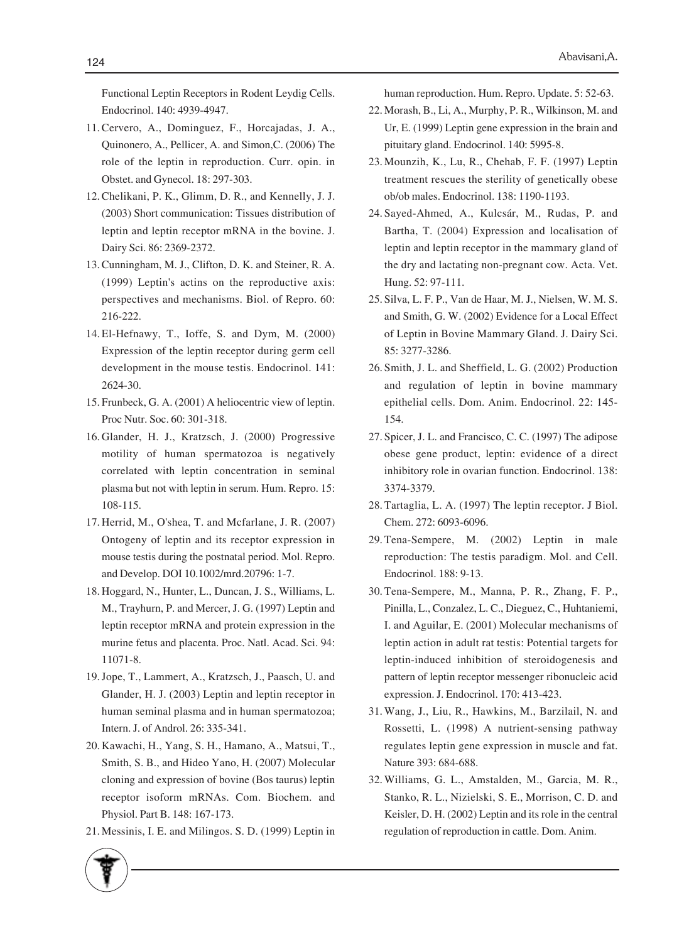Functional Leptin Receptors in Rodent Leydig Cells. Endocrinol. 140: 4939-4947.

- 11. Cervero, A., Dominguez, F., Horcajadas, J. A., Quinonero, A., Pellicer, A. and Simon,C. (2006) The role of the leptin in reproduction. Curr. opin. in Obstet. and Gynecol. 18: 297-303.
- 12. Chelikani, P. K., Glimm, D. R., and Kennelly, J. J. (2003) Short communication: Tissues distribution of leptin and leptin receptor mRNA in the bovine. J. Dairy Sci. 86: 2369-2372.
- 13. Cunningham, M. J., Clifton, D. K. and Steiner, R. A. (1999) Leptin's actins on the reproductive axis: perspectives and mechanisms. Biol. of Repro. 60: 216-222.
- El-Hefnawy, T., Ioffe, S. and Dym, M. (2000) 14. Expression of the leptin receptor during germ cell development in the mouse testis. Endocrinol. 141: 2624-30.
- 15. Frunbeck, G. A. (2001) A heliocentric view of leptin. Proc Nutr. Soc. 60: 301-318.
- 16. Glander, H. J., Kratzsch, J. (2000) Progressive motility of human spermatozoa is negatively correlated with leptin concentration in seminal plasma but not with leptin in serum. Hum. Repro. 15: 108-115.
- 17. Herrid, M., O'shea, T. and Mcfarlane, J. R. (2007) Ontogeny of leptin and its receptor expression in mouse testis during the postnatal period. Mol. Repro. and Develop. DOI 10.1002/mrd.20796: 1-7.
- 18. Hoggard, N., Hunter, L., Duncan, J. S., Williams, L. M., Trayhurn, P. and Mercer, J. G. (1997) Leptin and leptin receptor mRNA and protein expression in the murine fetus and placenta. Proc. Natl. Acad. Sci. 94: 11071-8.
- 19. Jope, T., Lammert, A., Kratzsch, J., Paasch, U. and Glander, H. J. (2003) Leptin and leptin receptor in human seminal plasma and in human spermatozoa; Intern. J. of Androl. 26: 335-341.
- 20. Kawachi, H., Yang, S. H., Hamano, A., Matsui, T., Smith, S. B., and Hideo Yano, H. (2007) Molecular cloning and expression of bovine (Bos taurus) leptin receptor isoform mRNAs. Com. Biochem. and Physiol. Part B. 148: 167-173.
- 21. Messinis, I. E. and Milingos. S. D. (1999) Leptin in

human reproduction. Hum. Repro. Update. 5: 52-63.

- 22. Morash, B., Li, A., Murphy, P. R., Wilkinson, M. and Ur, E. (1999) Leptin gene expression in the brain and pituitary gland. Endocrinol. 140: 5995-8.
- 23. Mounzih, K., Lu, R., Chehab, F. F. (1997) Leptin treatment rescues the sterility of genetically obese ob/ob males. Endocrinol. 138: 1190-1193.
- 24. Sayed-Ahmed, A., Kulcsár, M., Rudas, P. and Bartha, T. (2004) Expression and localisation of leptin and leptin receptor in the mammary gland of the dry and lactating non-pregnant cow. Acta. Vet. Hung. 52: 97-111.
- 25. Silva, L. F. P., Van de Haar, M. J., Nielsen, W. M. S. and Smith, G. W. (2002) Evidence for a Local Effect of Leptin in Bovine Mammary Gland. J. Dairy Sci. 85: 3277-3286.
- 26. Smith, J. L. and Sheffield, L. G. (2002) Production and regulation of leptin in bovine mammary epithelial cells. Dom. Anim. Endocrinol. 22: 145- 154.
- 27. Spicer, J. L. and Francisco, C. C. (1997) The adipose obese gene product, leptin: evidence of a direct inhibitory role in ovarian function. Endocrinol. 138: 3374-3379.
- 28. Tartaglia, L. A. (1997) The leptin receptor. J Biol. Chem. 272: 6093-6096.
- 29. Tena-Sempere, M. (2002) Leptin in male reproduction: The testis paradigm. Mol. and Cell. Endocrinol. 188: 9-13.
- 30. Tena-Sempere, M., Manna, P. R., Zhang, F. P., Pinilla, L., Conzalez, L. C., Dieguez, C., Huhtaniemi, I. and Aguilar, E. (2001) Molecular mechanisms of leptin action in adult rat testis: Potential targets for leptin-induced inhibition of steroidogenesis and pattern of leptin receptor messenger ribonucleic acid expression. J. Endocrinol. 170: 413-423.
- Wang, J., Liu, R., Hawkins, M., Barzilail, N. and 31. Rossetti, L. (1998) A nutrient-sensing pathway regulates leptin gene expression in muscle and fat. Nature 393: 684-688.
- Williams, G. L., Amstalden, M., Garcia, M. R., 32.Stanko, R. L., Nizielski, S. E., Morrison, C. D. and Keisler, D. H. (2002) Leptin and its role in the central regulation of reproduction in cattle. Dom. Anim.

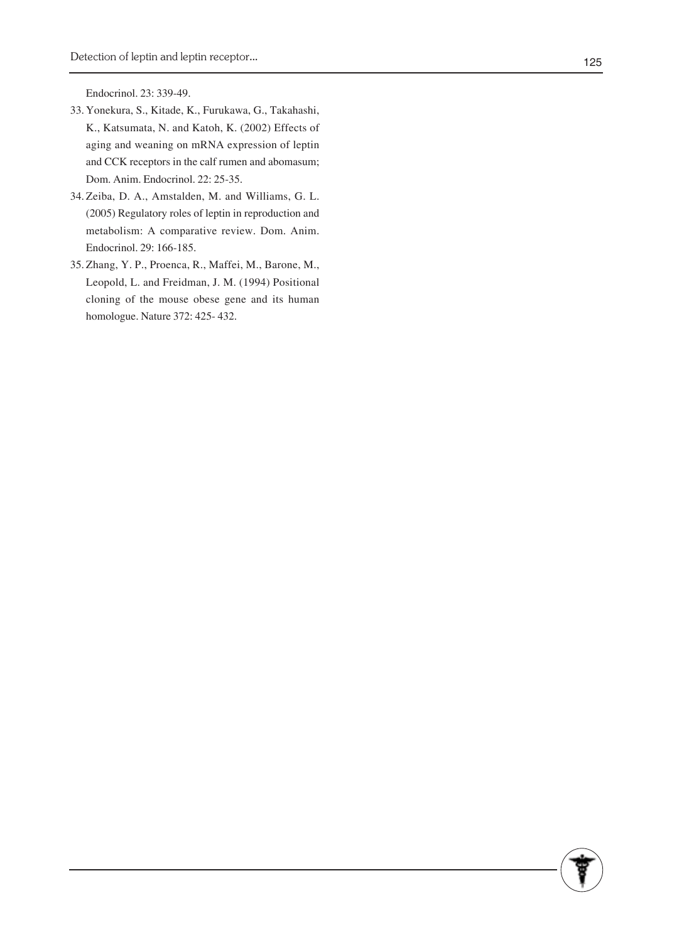Endocrinol. 23: 339-49.

- 33. Yonekura, S., Kitade, K., Furukawa, G., Takahashi, K., Katsumata, N. and Katoh, K. (2002) Effects of aging and weaning on mRNA expression of leptin and CCK receptors in the calf rumen and abomasum; Dom. Anim. Endocrinol. 22: 25-35.
- 34. Zeiba, D. A., Amstalden, M. and Williams, G. L. (2005) Regulatory roles of leptin in reproduction and metabolism: A comparative review. Dom. Anim. Endocrinol. 29: 166-185.
- 35. Zhang, Y. P., Proenca, R., Maffei, M., Barone, M., Leopold, L. and Freidman, J. M. (1994) Positional cloning of the mouse obese gene and its human homologue. Nature 372: 425- 432.